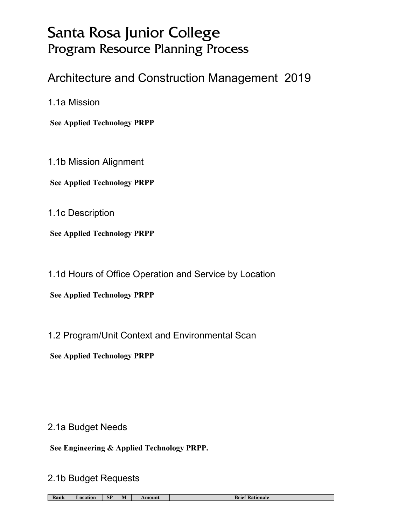# Santa Rosa Junior College Program Resource Planning Process

# Architecture and Construction Management 2019

1.1a Mission

**See Applied Technology PRPP**

1.1b Mission Alignment

**See Applied Technology PRPP**

1.1c Description

**See Applied Technology PRPP**

1.1d Hours of Office Operation and Service by Location

**See Applied Technology PRPP**

1.2 Program/Unit Context and Environmental Scan

**See Applied Technology PRPP**

2.1a Budget Needs

**See Engineering & Applied Technology PRPP.**

2.1b Budget Requests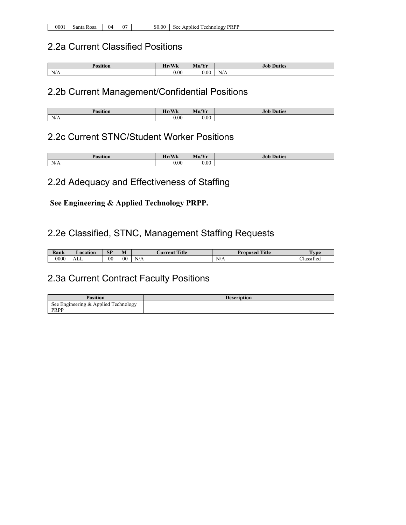| 0001 | Santa Rosa | 04 | $\sim$ | \$0.00 | <b>PRPP</b><br><b>See</b><br>lechnology<br>Applied |
|------|------------|----|--------|--------|----------------------------------------------------|

## 2.2a Current Classified Positions

| n<br>.<br>Position | JXII<br><b>TY</b><br><b>TY</b><br>. | Mo/Yr | <b>Duties</b><br>Jol |
|--------------------|-------------------------------------|-------|----------------------|
| N/A                | 0.00                                | 0.00  | N/A                  |

## 2.2b Current Management/Confidential Positions

| $\mathbf{r}$<br>пог | JXII<br>-<br><b>TY IL</b><br>. | $\sqrt{2}$<br>. .<br><b>IATO/ T I</b> | $\sim$<br>.lo<br>Duties |
|---------------------|--------------------------------|---------------------------------------|-------------------------|
| $\mathbf{v}$<br>N/A | 0.00                           | 0.00                                  |                         |

## 2.2c Current STNC/Student Worker Positions

| <b>Docition</b> | $T \times T$<br>TT.<br>YY IL<br>. | $\sqrt{2}$<br>$M_{\odot}$<br>$\mathbf{10}$ | $\sim$<br>Duties<br>Jol |
|-----------------|-----------------------------------|--------------------------------------------|-------------------------|
| N/A             | 0.00                              | $0.00\,$                                   |                         |

## 2.2d Adequacy and Effectiveness of Staffing

**See Engineering & Applied Technology PRPP.**

## 2.2e Classified, STNC, Management Staffing Requests

| $\sim$<br><b>Kank</b> | ∟ocation     | <b>SP</b>      | M<br><b>IVI</b> | <b>Title</b><br>Jurrent | 'Title<br>Proposed | vne                  |
|-----------------------|--------------|----------------|-----------------|-------------------------|--------------------|----------------------|
| 0000                  | $\sim$<br>℩ℶ | 0 <sup>0</sup> | 00              | N/A                     | N/A                | $\sim$<br>∠lassified |

## 2.3a Current Contract Faculty Positions

| <b>Position</b>                              | <b>Description</b> |
|----------------------------------------------|--------------------|
| See Engineering & Applied Technology<br>PRPP |                    |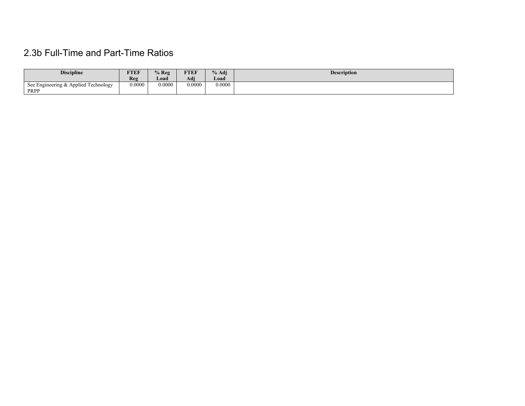## 2.3b Full-Time and Part-Time Ratios

| <b>Discipline</b>                            | <b>FTEF</b><br>Reg | $%$ Reg<br>Load | <b>TTEF</b><br>Adj | $%$ Adj<br>Load | <b>Description</b> |
|----------------------------------------------|--------------------|-----------------|--------------------|-----------------|--------------------|
| See Engineering & Applied Technology<br>PRPP | 0.0000             | 0.0000          | 0.0000             | 0.0000          |                    |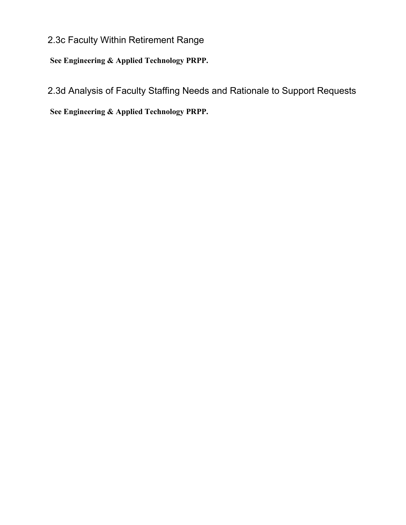## 2.3c Faculty Within Retirement Range

**See Engineering & Applied Technology PRPP.**

2.3d Analysis of Faculty Staffing Needs and Rationale to Support Requests

**See Engineering & Applied Technology PRPP.**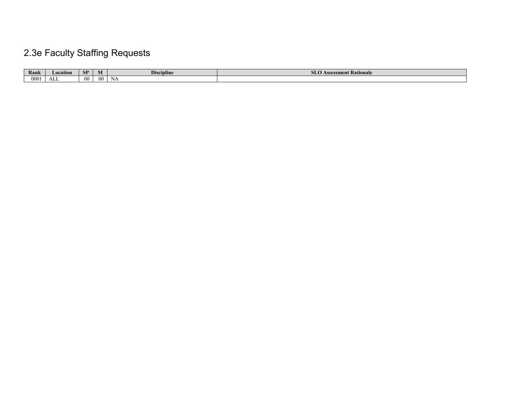# 2.3e Faculty Staffing Requests

| Rank | Location   | <b>CD</b><br>n. | IVI | <b>Discipline</b> | Assessment Rationale<br><b>JUV</b> |
|------|------------|-----------------|-----|-------------------|------------------------------------|
| 000  | . v<br>ALL | $00^{\circ}$    | œ   | IN F              |                                    |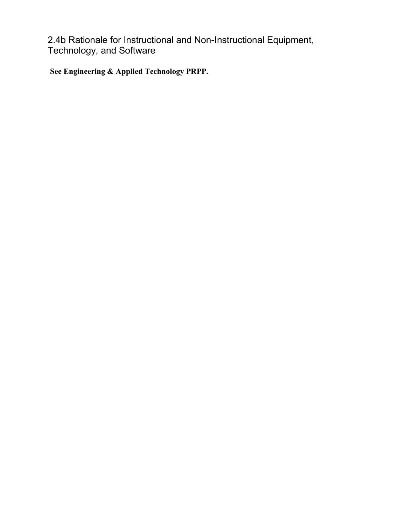2.4b Rationale for Instructional and Non-Instructional Equipment, Technology, and Software

**See Engineering & Applied Technology PRPP.**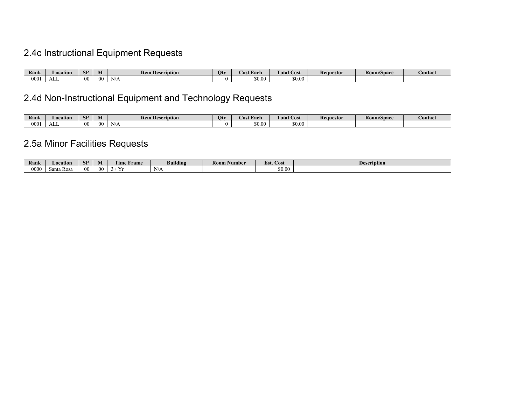## 2.4c Instructional Equipment Requests

| Rank | Location     | <b>CD</b><br>ЮI | M  | <b>Item Description</b> | Oty | <b>THE</b><br>Cost Each | $\mathbf{r}$<br>$\mathbf{1}$ $\alpha$<br><b>Total</b><br>_C OST | Requestor | $\sim$<br>Room/Space | <b>Contact</b> |
|------|--------------|-----------------|----|-------------------------|-----|-------------------------|-----------------------------------------------------------------|-----------|----------------------|----------------|
| 000  | . T 1<br>ALL | 00              | 00 | N/A                     |     | \$0.00                  | \$0.00                                                          |           |                      |                |

## 2.4d Non-Instructional Equipment and Technology Requests

| Rank | Location    | <b>SP</b>      |          | $\mathbf{r}$<br><b>Item Description</b> | Otv | Cost Each | <b>CONTINUES</b><br>$\sim$<br>Fotal Cost | <b>Requestor</b> | Room/Space | <b>Contact</b> |
|------|-------------|----------------|----------|-----------------------------------------|-----|-----------|------------------------------------------|------------------|------------|----------------|
| 000  | -<br>71 L J | 0 <sub>0</sub> | $\alpha$ | <b>ATI</b><br>N111<br>. .               |     | \$0.00    | \$0.0                                    |                  |            |                |

## 2.5a Minor Facilities Requests

| <b>STATE</b><br>Rank | Location   | CD<br>ÐІ | IVI | <b>CONTRACTOR</b><br><b>Im</b><br>rame | <b>Building</b>  | Room Number | $\sim$<br><b>Cost</b><br>Est. | Description |
|----------------------|------------|----------|-----|----------------------------------------|------------------|-------------|-------------------------------|-------------|
| 0000                 | Santa Rosa | 00       | 00  |                                        | <b>AT</b><br>N/r |             | 50.00                         |             |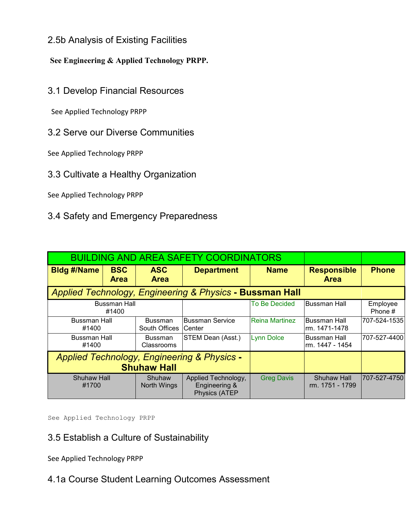## 2.5b Analysis of Existing Facilities

### **See Engineering & Applied Technology PRPP.**

## 3.1 Develop Financial Resources

See Applied Technology PRPP

3.2 Serve our Diverse Communities

See Applied Technology PRPP

## 3.3 Cultivate a Healthy Organization

See Applied Technology PRPP

## 3.4 Safety and Emergency Preparedness

|                                                      |                              |                                   | <b>BUILDING AND AREA SAFETY COORDINATORS</b>                     |                       |                                       |                     |
|------------------------------------------------------|------------------------------|-----------------------------------|------------------------------------------------------------------|-----------------------|---------------------------------------|---------------------|
| <b>Bldg #/Name</b>                                   | <b>BSC</b><br><b>Area</b>    | <b>ASC</b><br><b>Area</b>         | <b>Department</b>                                                | <b>Name</b>           | <b>Responsible</b><br><b>Area</b>     | <b>Phone</b>        |
|                                                      |                              |                                   | Applied Technology, Engineering & Physics - Bussman Hall         |                       |                                       |                     |
|                                                      | <b>Bussman Hall</b><br>#1400 |                                   |                                                                  | <b>To Be Decided</b>  | Bussman Hall                          | Employee<br>Phone # |
| <b>Bussman Hall</b><br>#1400                         |                              | <b>Bussman</b><br>South Offices I | Bussman Service<br>Center                                        | <b>Reina Martinez</b> | Bussman Hall<br>lrm. 1471-1478        | 707-524-1535        |
| <b>Bussman Hall</b><br>#1400                         |                              | <b>Bussman</b><br>Classrooms      | STEM Dean (Asst.)                                                | <b>Lynn Dolce</b>     | <b>Bussman Hall</b><br>m. 1447 - 1454 | 707-527-4400        |
|                                                      |                              | <b>Shuhaw Hall</b>                | Applied Technology, Engineering & Physics -                      |                       |                                       |                     |
| <b>Shuhaw Hall</b><br>Shuhaw<br>#1700<br>North Wings |                              |                                   | Applied Technology,<br><b>Engineering &amp;</b><br>Physics (ATEP | <b>Greg Davis</b>     | <b>Shuhaw Hall</b><br>rm. 1751 - 1799 | 707-527-4750        |

See Applied Technology PRPP

### 3.5 Establish a Culture of Sustainability

See Applied Technology PRPP

## 4.1a Course Student Learning Outcomes Assessment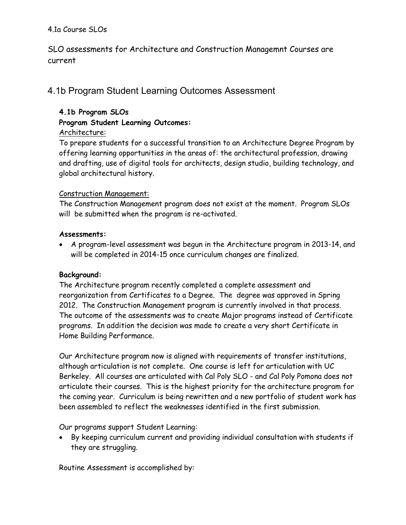#### 4.1a Course SLOs

SLO assessments for Architecture and Construction Managemnt Courses are current

## 4.1b Program Student Learning Outcomes Assessment

#### **4.1b Program SLOs**

#### **Program Student Learning Outcomes:**

#### Architecture:

To prepare students for a successful transition to an Architecture Degree Program by offering learning opportunities in the areas of: the architectural profession, drawing and drafting, use of digital tools for architects, design studio, building technology, and global architectural history.

#### Construction Management:

The Construction Management program does not exist at the moment. Program SLOs will be submitted when the program is re-activated.

#### **Assessments:**

• A program-level assessment was begun in the Architecture program in 2013-14, and will be completed in 2014-15 once curriculum changes are finalized.

#### **Background:**

The Architecture program recently completed a complete assessment and reorganization from Certificates to a Degree. The degree was approved in Spring 2012. The Construction Management program is currently involved in that process. The outcome of the assessments was to create Major programs instead of Certificate programs. In addition the decision was made to create a very short Certificate in Home Building Performance.

Our Architecture program now is aligned with requirements of transfer institutions, although articulation is not complete. One course is left for articulation with UC Berkeley. All courses are articulated with Cal Poly SLO - and Cal Poly Pomona does not articulate their courses. This is the highest priority for the architecture program for the coming year. Curriculum is being rewritten and a new portfolio of student work has been assembled to reflect the weaknesses identified in the first submission.

Our programs support Student Learning:

• By keeping curriculum current and providing individual consultation with students if they are struggling.

Routine Assessment is accomplished by: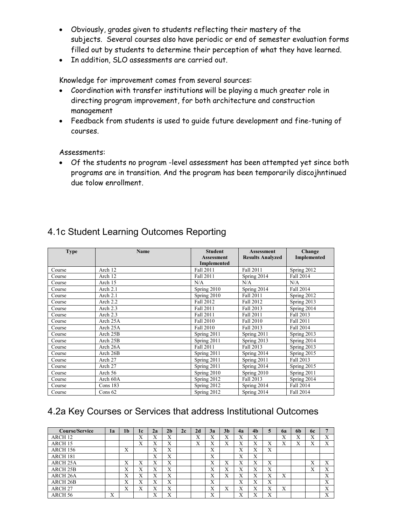- Obviously, grades given to students reflecting their mastery of the subjects. Several courses also have periodic or end of semester evaluation forms filled out by students to determine their perception of what they have learned.
- In addition, SLO assessments are carried out.

Knowledge for improvement comes from several sources:

- Coordination with transfer institutions will be playing a much greater role in directing program improvement, for both architecture and construction management
- Feedback from students is used to guide future development and fine-tuning of courses.

#### Assessments:

• Of the students no program -level assessment has been attempted yet since both programs are in transition. And the program has been temporarily discojhntinued due tolow enrollment.

| <b>Type</b> | <b>Name</b> | <b>Student</b>     | <b>Assessment</b>       | Change             |
|-------------|-------------|--------------------|-------------------------|--------------------|
|             |             | <b>Assessment</b>  | <b>Results Analyzed</b> | <b>Implemented</b> |
|             |             | <b>Implemented</b> |                         |                    |
| Course      | Arch 12     | Fall 2011          | Fall 2011               | Spring 2012        |
| Course      | Arch 12     | Fall 2011          | Spring 2014             | Fall 2014          |
| Course      | Arch 15     | N/A                | N/A                     | N/A                |
| Course      | Arch 2.1    | Spring 2010        | Spring 2014             | Fall 2014          |
| Course      | Arch 2.1    | Spring 2010        | Fall 2011               | Spring 2012        |
| Course      | Arch 2.2    | Fall 2012          | Fall 2012               | Spring 2013        |
| Course      | Arch 2.3    | Fall 2011          | Fall 2013               | Spring 2014        |
| Course      | Arch 2.3    | Fall 2011          | Fall 2011               | Fall 2013          |
| Course      | Arch 25A    | Fall 2010          | Fall 2010               | Fall 2011          |
| Course      | Arch 25A    | Fall 2010          | Fall 2013               | Fall 2014          |
| Course      | Arch 25B    | Spring 2011        | Spring 2011             | Spring 2013        |
| Course      | Arch 25B    | Spring 2011        | Spring 2013             | Spring 2014        |
| Course      | Arch 26A    | Fall 2011          | Fall 2013               | Spring 2013        |
| Course      | Arch 26B    | Spring 2011        | Spring 2014             | Spring 2015        |
| Course      | Arch 27     | Spring 2011        | Spring 2011             | Fall 2013          |
| Course      | Arch 27     | Spring 2011        | Spring 2014             | Spring 2015        |
| Course      | Arch 56     | Spring 2010        | Spring 2010             | Spring 2011        |
| Course      | Arch 60A    | Spring 2012        | Fall 2013               | Spring 2014        |
| Course      | Cons $183$  | Spring 2012        | Spring 2014             | Fall 2014          |
| Course      | Cons $62$   | Spring 2012        | Spring 2014             | Fall 2014          |

## 4.1c Student Learning Outcomes Reporting

## 4.2a Key Courses or Services that address Institutional Outcomes

| <b>Course/Service</b> | la               | 1 <sub>b</sub>    | 1c | 2a                        | 2 <sub>h</sub> | 2c | 2d                        | 3a                        | 3 <sub>h</sub>            | 4a | 4 <sub>b</sub>    | 5 | 62                | 6 <sub>b</sub>    | 6с                        |                   |
|-----------------------|------------------|-------------------|----|---------------------------|----------------|----|---------------------------|---------------------------|---------------------------|----|-------------------|---|-------------------|-------------------|---------------------------|-------------------|
| ARCH <sub>12</sub>    |                  |                   | X  | $\mathbf{v}$<br>$\lambda$ | X              |    | $\mathbf{v}$<br>$\lambda$ | v<br>$\lambda$            | $\mathbf{v}$<br>$\lambda$ | X  | X                 |   | v<br>$\lambda$    | $\mathbf{v}$<br>л | $\mathbf{v}$<br>$\lambda$ | X                 |
| ARCH <sub>15</sub>    |                  |                   | X  | $\mathbf{v}$<br>л         | X              |    | X                         | v<br>$\lambda$            | X                         | X  | X                 | X | $\mathbf{v}$<br>л | X                 | v<br>л                    | X                 |
| <b>ARCH 156</b>       |                  | $\mathbf{x}$<br>A |    | $\mathbf{v}$<br>л         | X              |    |                           | X                         |                           | X  | X                 | X |                   |                   |                           |                   |
| ARCH 181              |                  |                   |    | $\mathbf{v}$<br>л         | X              |    |                           | X                         |                           | X  | X                 |   |                   |                   |                           |                   |
| ARCH <sub>25</sub> A  |                  | $\mathbf{v}$<br>л | X  | $\mathbf{v}$<br>л         | X              |    |                           | $\mathbf v$<br>л          | $\mathbf{v}$<br>A         | X  | $\mathbf{v}$<br>A | X |                   |                   | $\mathbf{v}$<br>$\lambda$ | X                 |
| ARCH <sub>25B</sub>   |                  | $\mathbf{v}$<br>л | X  | $\mathbf{v}$<br>$\lambda$ | X              |    |                           | $\mathbf{v}$<br>$\lambda$ | v<br>$\lambda$            | X  | X                 | X |                   |                   | $\mathbf{v}$<br>$\lambda$ | $\mathbf{v}$<br>л |
| ARCH <sub>26</sub> A  |                  | $\mathbf{v}$<br>A | X  | $\mathbf{v}$<br>$\lambda$ | X              |    |                           | v<br>$\lambda$            | X                         | X  | X                 | X | X                 |                   |                           | X                 |
| ARCH <sub>26</sub> B  |                  | X                 | X  | X                         | X              |    |                           | X                         |                           | X  | X                 | X |                   |                   |                           | X                 |
| ARCH <sub>27</sub>    |                  | $\mathbf{v}$<br>A | X  | $\mathbf{v}$<br>л         | X              |    |                           | $\mathbf{v}$<br>л         | $\mathbf v$<br>A          | X  | X                 | X | X                 |                   |                           | X                 |
| ARCH 56               | $\mathbf v$<br>л |                   |    | $\mathbf{v}$<br>л         | X              |    |                           | $\mathbf v$<br>A          |                           | X  | v<br>A            | X |                   |                   |                           | X                 |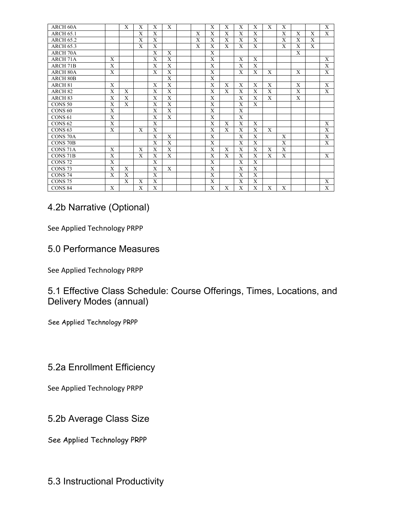| ARCH 60A             |              | $\mathbf{X}$            | X | X           | X              |   | X            | $\mathbf{X}$ | X            | X            | X | X            |                |   | X            |
|----------------------|--------------|-------------------------|---|-------------|----------------|---|--------------|--------------|--------------|--------------|---|--------------|----------------|---|--------------|
| <b>ARCH 65.1</b>     |              |                         | X | X           |                | X | X            | X            | X            | X            |   | X            | X              | X | X            |
| <b>ARCH 65.2</b>     |              |                         | X | X           |                | X | X            | X            | X            | X            |   | X            | X              | X |              |
| <b>ARCH 65.3</b>     |              |                         | X | X           |                | X | X            | X            | X            | X            |   | X            | X              | X |              |
| <b>ARCH 70A</b>      |              |                         |   | X           | $\mathbf{X}$   |   | X            |              |              |              |   |              | $\mathbf{X}$   |   |              |
| <b>ARCH 71A</b>      | X            |                         |   | X           | X              |   | X            |              | X            | X            |   |              |                |   | X            |
| <b>ARCH 71B</b>      | X            |                         |   | X           | $\mathbf{X}$   |   | $\mathbf{X}$ |              | X            | $\mathbf{X}$ |   |              |                |   | $\mathbf{x}$ |
| <b>ARCH 80A</b>      | X            |                         |   | X           | X              |   | X            |              | X            | X            | X |              | X              |   | X            |
| <b>ARCH 80B</b>      |              |                         |   |             | X              |   | X            |              |              |              |   |              |                |   |              |
| ARCH <sub>81</sub>   | X            |                         |   | X           | X              |   | X            | $\mathbf{X}$ | X            | X            | X |              | X              |   | X            |
| ARCH <sub>82</sub>   | X            | X                       |   | X           | X              |   | X            | X            | X            | X            | X |              | X              |   | $\mathbf{X}$ |
| ARCH <sub>83</sub>   | X            | $\overline{\mathrm{X}}$ |   | X           | $\overline{X}$ |   | X            |              | X            | X            | X |              | $\overline{X}$ |   |              |
| CONS <sub>50</sub>   | X            | $\mathbf{X}$            |   | X           | $\mathbf{X}$   |   | $\mathbf{X}$ |              | X            | X            |   |              |                |   |              |
| CONS <sub>60</sub>   | X            |                         |   | X           | X              |   | X            |              | X            |              |   |              |                |   |              |
| CONS <sub>61</sub>   | X            |                         |   | X           | X              |   | X            |              | X            |              |   |              |                |   |              |
| CONS <sub>62</sub>   | $\mathbf{X}$ |                         |   | X           |                |   | X            | X            | X            | X            |   |              |                |   | X            |
| CONS <sub>63</sub>   | X            |                         | X | X           |                |   | X            | X            | X            | X            | X |              |                |   | $\mathbf X$  |
| CONS <sub>70</sub> A |              |                         |   | X           | X              |   | X            |              | X            | X            |   | X            |                |   | $\mathbf{X}$ |
| CONS <sub>70</sub> B |              |                         |   | $\mathbf x$ | $\mathbf{X}$   |   | $\mathbf{X}$ |              | $\mathbf{x}$ | $\mathbf{x}$ |   | $\mathbf{X}$ |                |   | $\mathbf{X}$ |
| CONS <sub>71A</sub>  | X            |                         | X | X           | X              |   | X            | X            | X            | X            | X | X            |                |   |              |
| CONS <sub>71</sub> B | X            |                         | X | X           | X              |   | X            | X            | X            | X            | X | X            |                |   | X            |
| CONS <sub>72</sub>   | X            |                         |   | X           |                |   | X            |              | X            | X            |   |              |                |   |              |
| CONS <sub>73</sub>   | X            | X                       |   | X           | X              |   | X            |              | X            | X            |   |              |                |   |              |
| CONS <sub>74</sub>   | X            | X                       |   | X           |                |   | X            |              | X            | X            |   |              |                |   |              |
| CONS <sub>75</sub>   |              | X                       | X | X           |                |   | X            |              | X            | X            |   |              |                |   | X            |
| CONS <sub>84</sub>   | X            |                         | X | X           |                |   | X            | X            | X            | X            | X | X            |                |   | $\mathbf{X}$ |

## 4.2b Narrative (Optional)

See Applied Technology PRPP

### 5.0 Performance Measures

See Applied Technology PRPP

## 5.1 Effective Class Schedule: Course Offerings, Times, Locations, and Delivery Modes (annual)

See Applied Technology PRPP

## 5.2a Enrollment Efficiency

See Applied Technology PRPP

5.2b Average Class Size

See Applied Technology PRPP

## 5.3 Instructional Productivity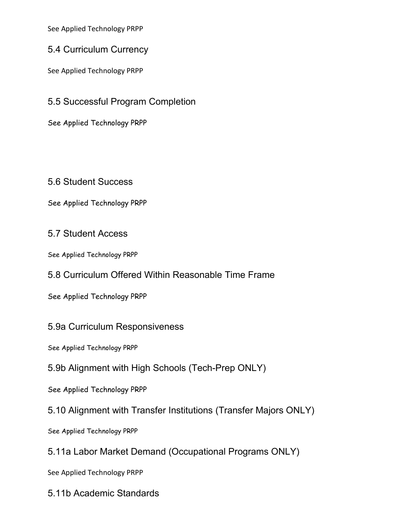See Applied Technology PRPP

## 5.4 Curriculum Currency

See Applied Technology PRPP

5.5 Successful Program Completion

See Applied Technology PRPP

5.6 Student Success

See Applied Technology PRPP

### 5.7 Student Access

See Applied Technology PRPP

## 5.8 Curriculum Offered Within Reasonable Time Frame

See Applied Technology PRPP

### 5.9a Curriculum Responsiveness

See Applied Technology PRPP

## 5.9b Alignment with High Schools (Tech-Prep ONLY)

See Applied Technology PRPP

5.10 Alignment with Transfer Institutions (Transfer Majors ONLY)

See Applied Technology PRPP

5.11a Labor Market Demand (Occupational Programs ONLY)

See Applied Technology PRPP

5.11b Academic Standards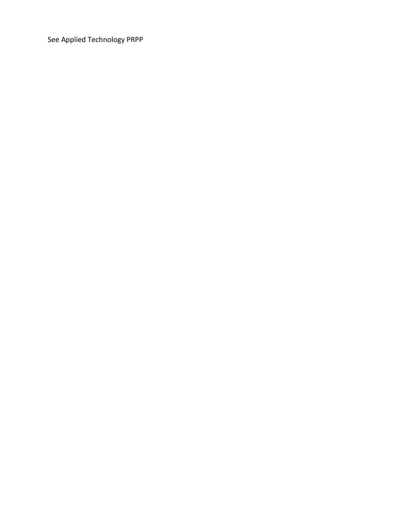See Applied Technology PRPP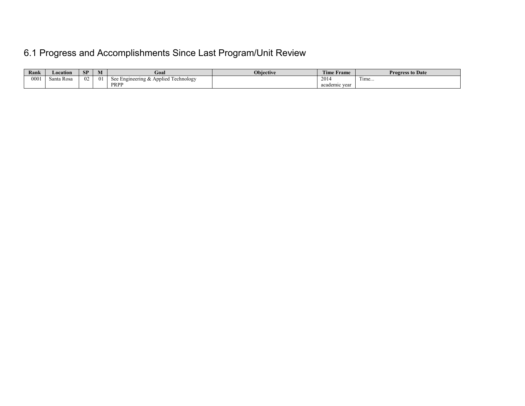# 6.1 Progress and Accomplishments Since Last Program/Unit Review

| Rank | Location   | <b>SP</b> | <b>IVI</b> | Goal                                                             | Obiective | rane.<br>Time Frame | <b>Progress to Date</b> |
|------|------------|-----------|------------|------------------------------------------------------------------|-----------|---------------------|-------------------------|
| 0001 | Santa Rosa | 0z        | 01         | $\sim$<br>Applied<br>Technology<br>$\rm{Sec}$<br>ngineering $\&$ |           | 2014                | <b>STATE</b><br>$1$ ime |
|      |            |           |            | PRPP                                                             |           | academic vear       |                         |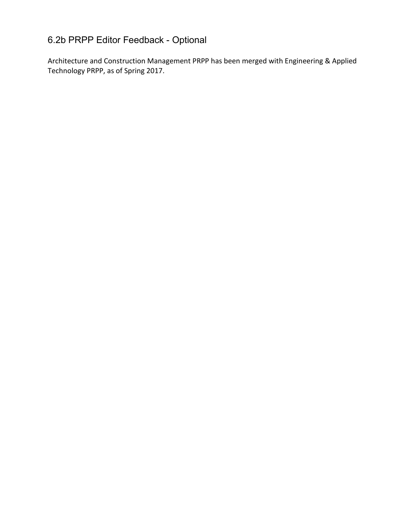## 6.2b PRPP Editor Feedback - Optional

Architecture and Construction Management PRPP has been merged with Engineering & Applied Technology PRPP, as of Spring 2017.